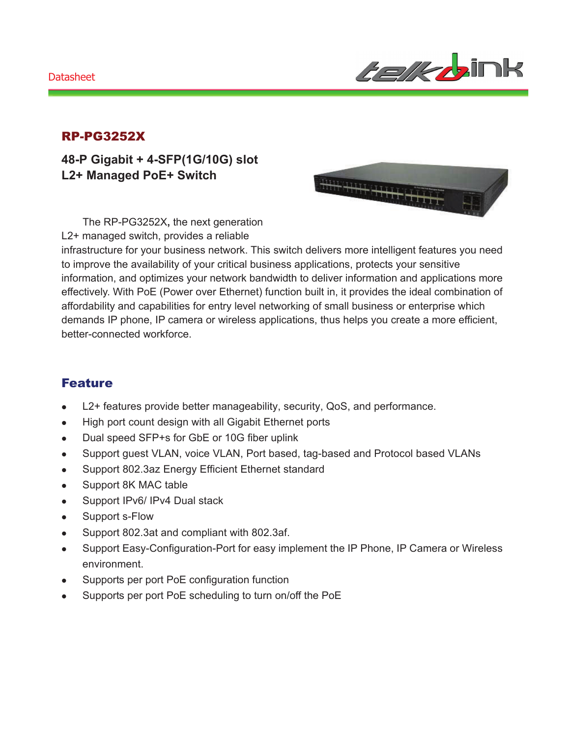#### **Datasheet**



### RP-PG3252X

**48-P Gigabit + 4-SFP(1G/10G) slot L2+ Managed PoE+ Switch** 

an partir de

The RP-PG3252X**,** the next generation L2+ managed switch, provides a reliable

infrastructure for your business network. This switch delivers more intelligent features you need to improve the availability of your critical business applications, protects your sensitive information, and optimizes your network bandwidth to deliver information and applications more effectively. With PoE (Power over Ethernet) function built in, it provides the ideal combination of affordability and capabilities for entry level networking of small business or enterprise which demands IP phone, IP camera or wireless applications, thus helps you create a more efficient, better-connected workforce.

### Feature

- L2+ features provide better manageability, security, QoS, and performance.
- High port count design with all Gigabit Ethernet ports
- Dual speed SFP+s for GbE or 10G fiber uplink
- Support guest VLAN, voice VLAN, Port based, tag-based and Protocol based VLANs
- Support 802.3az Energy Efficient Ethernet standard
- Support 8K MAC table
- Support IPv6/ IPv4 Dual stack
- Support s-Flow
- Support 802.3at and compliant with 802.3af.
- Support Easy-Configuration-Port for easy implement the IP Phone, IP Camera or Wireless environment.
- Supports per port PoE configuration function
- Supports per port PoE scheduling to turn on/off the PoE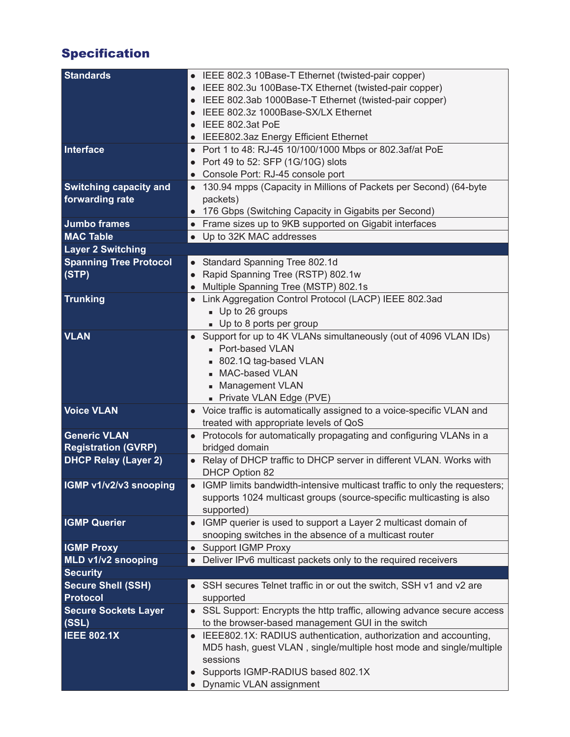# Specification

| <b>Standards</b>              | • IEEE 802.3 10Base-T Ethernet (twisted-pair copper)                            |
|-------------------------------|---------------------------------------------------------------------------------|
|                               | IEEE 802.3u 100Base-TX Ethernet (twisted-pair copper)                           |
|                               | IEEE 802.3ab 1000Base-T Ethernet (twisted-pair copper)                          |
|                               |                                                                                 |
|                               | IEEE 802.3z 1000Base-SX/LX Ethernet                                             |
|                               | IEEE 802.3at PoE                                                                |
|                               | • IEEE802.3az Energy Efficient Ethernet                                         |
| Interface                     | • Port 1 to 48: RJ-45 10/100/1000 Mbps or 802.3af/at PoE                        |
|                               | Port 49 to 52: SFP (1G/10G) slots                                               |
|                               | • Console Port: RJ-45 console port                                              |
| <b>Switching capacity and</b> | • 130.94 mpps (Capacity in Millions of Packets per Second) (64-byte             |
| forwarding rate               | packets)                                                                        |
|                               | 176 Gbps (Switching Capacity in Gigabits per Second)                            |
| <b>Jumbo frames</b>           | • Frame sizes up to 9KB supported on Gigabit interfaces                         |
| <b>MAC Table</b>              | • Up to 32K MAC addresses                                                       |
| <b>Layer 2 Switching</b>      |                                                                                 |
| <b>Spanning Tree Protocol</b> | Standard Spanning Tree 802.1d<br>$\bullet$                                      |
| (STP)                         | Rapid Spanning Tree (RSTP) 802.1w                                               |
|                               | $\bullet$                                                                       |
|                               | Multiple Spanning Tree (MSTP) 802.1s                                            |
| <b>Trunking</b>               | Link Aggregation Control Protocol (LACP) IEEE 802.3ad<br>$\bullet$              |
|                               | Up to 26 groups                                                                 |
|                               | • Up to 8 ports per group                                                       |
| <b>VLAN</b>                   | Support for up to 4K VLANs simultaneously (out of 4096 VLAN IDs)                |
|                               | - Port-based VLAN                                                               |
|                               | ■ 802.1Q tag-based VLAN                                                         |
|                               | MAC-based VLAN                                                                  |
|                               | • Management VLAN                                                               |
|                               | - Private VLAN Edge (PVE)                                                       |
| <b>Voice VLAN</b>             | • Voice traffic is automatically assigned to a voice-specific VLAN and          |
|                               | treated with appropriate levels of QoS                                          |
| <b>Generic VLAN</b>           | • Protocols for automatically propagating and configuring VLANs in a            |
| <b>Registration (GVRP)</b>    | bridged domain                                                                  |
| <b>DHCP Relay (Layer 2)</b>   | Relay of DHCP traffic to DHCP server in different VLAN. Works with<br>$\bullet$ |
|                               | DHCP Option 82                                                                  |
| IGMP v1/v2/v3 snooping        | IGMP limits bandwidth-intensive multicast traffic to only the requesters;       |
|                               |                                                                                 |
|                               | supports 1024 multicast groups (source-specific multicasting is also            |
|                               | supported)                                                                      |
| <b>IGMP Querier</b>           | IGMP querier is used to support a Layer 2 multicast domain of<br>$\bullet$      |
|                               | snooping switches in the absence of a multicast router                          |
| <b>IGMP Proxy</b>             | • Support IGMP Proxy                                                            |
| MLD v1/v2 snooping            | Deliver IPv6 multicast packets only to the required receivers                   |
| <b>Security</b>               |                                                                                 |
| <b>Secure Shell (SSH)</b>     | SSH secures Telnet traffic in or out the switch, SSH v1 and v2 are              |
| <b>Protocol</b>               | supported                                                                       |
| <b>Secure Sockets Layer</b>   | SSL Support: Encrypts the http traffic, allowing advance secure access          |
| (SSL)                         | to the browser-based management GUI in the switch                               |
| <b>IEEE 802.1X</b>            | • IEEE802.1X: RADIUS authentication, authorization and accounting,              |
|                               |                                                                                 |
|                               |                                                                                 |
|                               | MD5 hash, guest VLAN, single/multiple host mode and single/multiple             |
|                               | sessions                                                                        |
|                               | Supports IGMP-RADIUS based 802.1X<br>Dynamic VLAN assignment                    |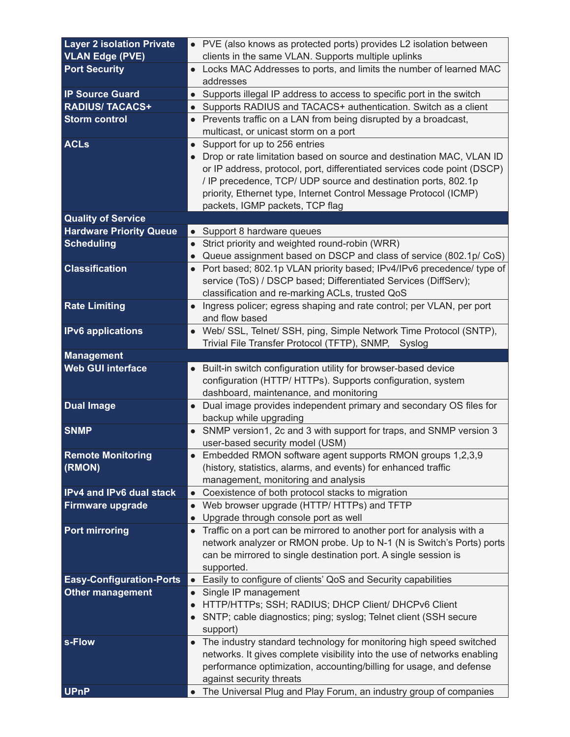| <b>Layer 2 isolation Private</b> |           | • PVE (also knows as protected ports) provides L2 isolation between                            |
|----------------------------------|-----------|------------------------------------------------------------------------------------------------|
| <b>VLAN Edge (PVE)</b>           |           | clients in the same VLAN. Supports multiple uplinks                                            |
| <b>Port Security</b>             |           | • Locks MAC Addresses to ports, and limits the number of learned MAC                           |
|                                  |           | addresses                                                                                      |
| <b>IP Source Guard</b>           |           | • Supports illegal IP address to access to specific port in the switch                         |
| <b>RADIUS/ TACACS+</b>           | $\bullet$ | Supports RADIUS and TACACS+ authentication. Switch as a client                                 |
| <b>Storm control</b>             |           | • Prevents traffic on a LAN from being disrupted by a broadcast,                               |
|                                  |           | multicast, or unicast storm on a port                                                          |
| <b>ACLs</b>                      |           | Support for up to 256 entries                                                                  |
|                                  | $\bullet$ | Drop or rate limitation based on source and destination MAC, VLAN ID                           |
|                                  |           | or IP address, protocol, port, differentiated services code point (DSCP)                       |
|                                  |           | / IP precedence, TCP/ UDP source and destination ports, 802.1p                                 |
|                                  |           | priority, Ethernet type, Internet Control Message Protocol (ICMP)                              |
|                                  |           | packets, IGMP packets, TCP flag                                                                |
| <b>Quality of Service</b>        |           |                                                                                                |
| <b>Hardware Priority Queue</b>   |           | • Support 8 hardware queues                                                                    |
| <b>Scheduling</b>                | $\bullet$ | Strict priority and weighted round-robin (WRR)                                                 |
|                                  |           | • Queue assignment based on DSCP and class of service (802.1p/ CoS)                            |
| <b>Classification</b>            | $\bullet$ | Port based; 802.1p VLAN priority based; IPv4/IPv6 precedence/ type of                          |
|                                  |           | service (ToS) / DSCP based; Differentiated Services (DiffServ);                                |
|                                  |           | classification and re-marking ACLs, trusted QoS                                                |
| <b>Rate Limiting</b>             |           | Ingress policer; egress shaping and rate control; per VLAN, per port                           |
|                                  |           | and flow based                                                                                 |
| <b>IPv6</b> applications         |           | • Web/ SSL, Telnet/ SSH, ping, Simple Network Time Protocol (SNTP),                            |
|                                  |           | Trivial File Transfer Protocol (TFTP), SNMP, Syslog                                            |
| <b>Management</b>                |           |                                                                                                |
| <b>Web GUI interface</b>         | $\bullet$ | Built-in switch configuration utility for browser-based device                                 |
|                                  |           | configuration (HTTP/ HTTPs). Supports configuration, system                                    |
|                                  |           | dashboard, maintenance, and monitoring                                                         |
| <b>Dual Image</b>                |           | Dual image provides independent primary and secondary OS files for                             |
|                                  |           | backup while upgrading                                                                         |
| <b>SNMP</b>                      |           | SNMP version1, 2c and 3 with support for traps, and SNMP version 3                             |
|                                  |           | user-based security model (USM)                                                                |
| <b>Remote Monitoring</b>         |           | Embedded RMON software agent supports RMON groups 1,2,3,9                                      |
| (RMON)                           |           | (history, statistics, alarms, and events) for enhanced traffic                                 |
| <b>IPv4 and IPv6 dual stack</b>  |           | management, monitoring and analysis                                                            |
|                                  | $\bullet$ | Coexistence of both protocol stacks to migration<br>Web browser upgrade (HTTP/ HTTPs) and TFTP |
| Firmware upgrade                 |           | Upgrade through console port as well                                                           |
| <b>Port mirroring</b>            |           | Traffic on a port can be mirrored to another port for analysis with a                          |
|                                  |           | network analyzer or RMON probe. Up to N-1 (N is Switch's Ports) ports                          |
|                                  |           | can be mirrored to single destination port. A single session is                                |
|                                  |           | supported.                                                                                     |
| <b>Easy-Configuration-Ports</b>  | $\bullet$ | Easily to configure of clients' QoS and Security capabilities                                  |
| <b>Other management</b>          | $\bullet$ | Single IP management                                                                           |
|                                  |           | HTTP/HTTPs; SSH; RADIUS; DHCP Client/ DHCPv6 Client                                            |
|                                  |           | SNTP; cable diagnostics; ping; syslog; Telnet client (SSH secure                               |
|                                  |           | support)                                                                                       |
| s-Flow                           | $\bullet$ | The industry standard technology for monitoring high speed switched                            |
|                                  |           | networks. It gives complete visibility into the use of networks enabling                       |
|                                  |           | performance optimization, accounting/billing for usage, and defense                            |
|                                  |           | against security threats                                                                       |
| <b>UPnP</b>                      |           | The Universal Plug and Play Forum, an industry group of companies                              |